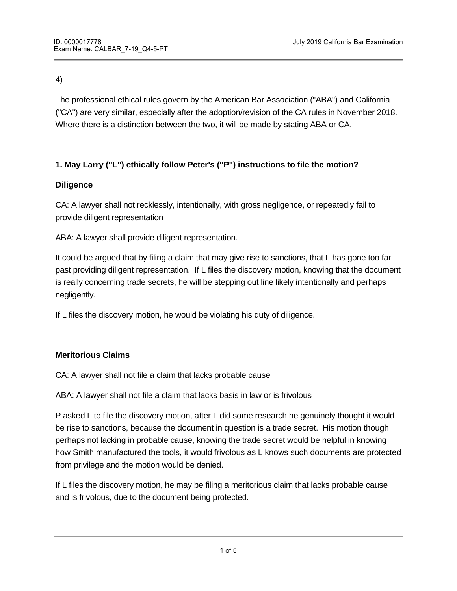4)

The professional ethical rules govern by the American Bar Association ("ABA") and California ("CA") are very similar, especially after the adoption/revision of the CA rules in November 2018. Where there is a distinction between the two, it will be made by stating ABA or CA.

## **1. May Larry ("L") ethically follow Peter's ("P") instructions to file the motion?**

#### **Diligence**

CA: A lawyer shall not recklessly, intentionally, with gross negligence, or repeatedly fail to provide diligent representation

ABA: A lawyer shall provide diligent representation.

It could be argued that by filing a claim that may give rise to sanctions, that L has gone too far past providing diligent representation. If L files the discovery motion, knowing that the document is really concerning trade secrets, he will be stepping out line likely intentionally and perhaps negligently.

If L files the discovery motion, he would be violating his duty of diligence.

### **Meritorious Claims**

CA: A lawyer shall not file a claim that lacks probable cause

ABA: A lawyer shall not file a claim that lacks basis in law or is frivolous

**Responsibilities of a managerial partner or supervising lawyer** 

P asked L to file the discovery motion, after L did some research he genuinely thought it would be rise to sanctions, because the document in question is a trade secret. His motion though perhaps not lacking in probable cause, knowing the trade secret would be helpful in knowing how Smith manufactured the tools, it would frivolous as L knows such documents are protected from privilege and the motion would be denied.

If L files the discovery motion, he may be filing a meritorious claim that lacks probable cause and is frivolous, due to the document being protected.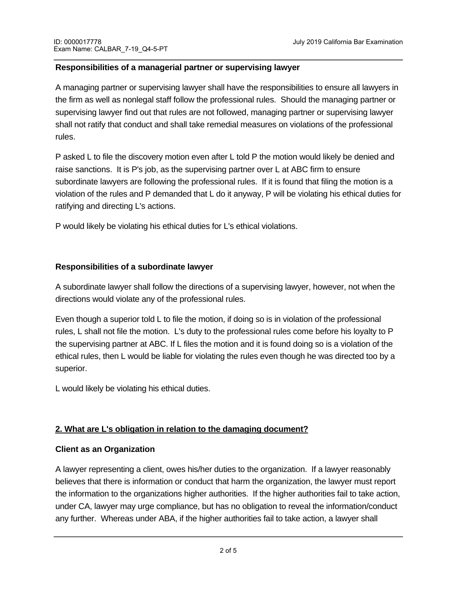#### **Responsibilities of a managerial partner or supervising lawyer**

A managing partner or supervising lawyer shall have the responsibilities to ensure all lawyers in the firm as well as nonlegal staff follow the professional rules. Should the managing partner or supervising lawyer find out that rules are not followed, managing partner or supervising lawyer shall not ratify that conduct and shall take remedial measures on violations of the professional rules.

P asked L to file the discovery motion even after L told P the motion would likely be denied and raise sanctions. It is P's job, as the supervising partner over L at ABC firm to ensure subordinate lawyers are following the professional rules. If it is found that filing the motion is a violation of the rules and P demanded that L do it anyway, P will be violating his ethical duties for ratifying and directing L's actions.

P would likely be violating his ethical duties for L's ethical violations.

### **Responsibilities of a subordinate lawyer**

A subordinate lawyer shall follow the directions of a supervising lawyer, however, not when the directions would violate any of the professional rules.

Even though a superior told L to file the motion, if doing so is in violation of the professional rules, L shall not file the motion. L's duty to the professional rules come before his loyalty to P the supervising partner at ABC. If L files the motion and it is found doing so is a violation of the ethical rules, then L would be liable for violating the rules even though he was directed too by a superior.

L would likely be violating his ethical duties.

### **2. What are L's obligation in relation to the damaging document?**

### **Client as an Organization**

A lawyer representing a client, owes his/her duties to the organization. If a lawyer reasonably believes that there is information or conduct that harm the organization, the lawyer must report the information to the organizations higher authorities. If the higher authorities fail to take action, under CA, lawyer may urge compliance, but has no obligation to reveal the information/conduct any further. Whereas under ABA, if the higher authorities fail to take action, a lawyer shall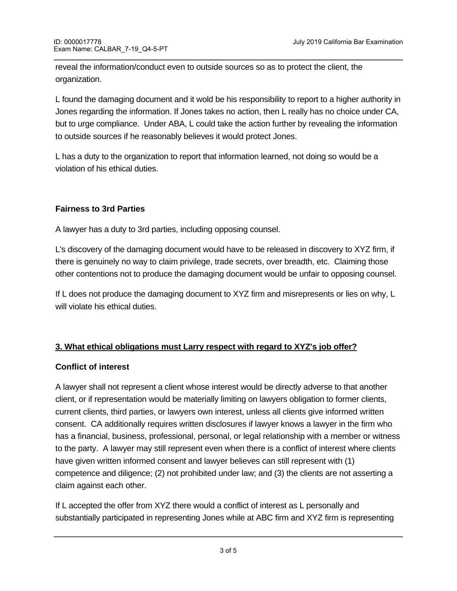reveal the information/conduct even to outside sources so as to protect the client, the organization.

L found the damaging document and it wold be his responsibility to report to a higher authority in Jones regarding the information. If Jones takes no action, then L really has no choice under CA, but to urge compliance. Under ABA, L could take the action further by revealing the information to outside sources if he reasonably believes it would protect Jones.

L has a duty to the organization to report that information learned, not doing so would be a violation of his ethical duties.

### **Fairness to 3rd Parties**

A lawyer has a duty to 3rd parties, including opposing counsel.

L's discovery of the damaging document would have to be released in discovery to XYZ firm, if there is genuinely no way to claim privilege, trade secrets, over breadth, etc. Claiming those other contentions not to produce the damaging document would be unfair to opposing counsel.

If L does not produce the damaging document to XYZ firm and misrepresents or lies on why, L will violate his ethical duties.

### **3. What ethical obligations must Larry respect with regard to XYZ's job offer?**

### **Conflict of interest**

A lawyer shall not represent a client whose interest would be directly adverse to that another client, or if representation would be materially limiting on lawyers obligation to former clients, current clients, third parties, or lawyers own interest, unless all clients give informed written consent. CA additionally requires written disclosures if lawyer knows a lawyer in the firm who has a financial, business, professional, personal, or legal relationship with a member or witness to the party. A lawyer may still represent even when there is a conflict of interest where clients have given written informed consent and lawyer believes can still represent with (1) competence and diligence; (2) not prohibited under law; and (3) the clients are not asserting a claim against each other.

If L accepted the offer from XYZ there would a conflict of interest as L personally and substantially participated in representing Jones while at ABC firm and XYZ firm is representing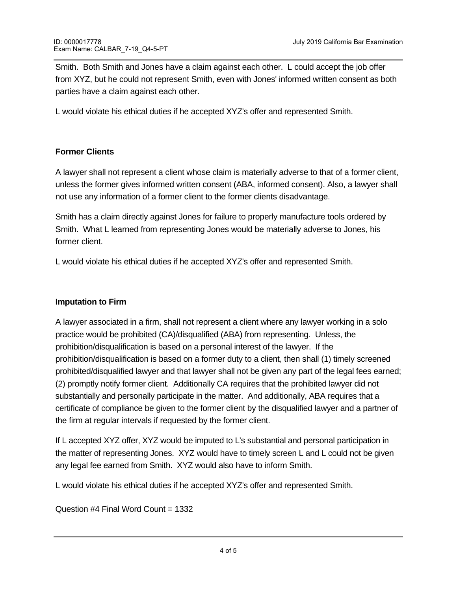Smith. Both Smith and Jones have a claim against each other. L could accept the job offer from XYZ, but he could not represent Smith, even with Jones' informed written consent as both parties have a claim against each other.

L would violate his ethical duties if he accepted XYZ's offer and represented Smith.

## **Former Clients**

A lawyer shall not represent a client whose claim is materially adverse to that of a former client, unless the former gives informed written consent (ABA, informed consent). Also, a lawyer shall not use any information of a former client to the former clients disadvantage.

Smith has a claim directly against Jones for failure to properly manufacture tools ordered by Smith. What L learned from representing Jones would be materially adverse to Jones, his former client.

L would violate his ethical duties if he accepted XYZ's offer and represented Smith.

### **Imputation to Firm**

A lawyer associated in a firm, shall not represent a client where any lawyer working in a solo practice would be prohibited (CA)/disqualified (ABA) from representing. Unless, the prohibition/disqualification is based on a personal interest of the lawyer. If the prohibition/disqualification is based on a former duty to a client, then shall (1) timely screened prohibited/disqualified lawyer and that lawyer shall not be given any part of the legal fees earned; (2) promptly notify former client. Additionally CA requires that the prohibited lawyer did not substantially and personally participate in the matter. And additionally, ABA requires that a certificate of compliance be given to the former client by the disqualified lawyer and a partner of the firm at regular intervals if requested by the former client.

If L accepted XYZ offer, XYZ would be imputed to L's substantial and personal participation in the matter of representing Jones. XYZ would have to timely screen L and L could not be given any legal fee earned from Smith. XYZ would also have to inform Smith.

L would violate his ethical duties if he accepted XYZ's offer and represented Smith.

Question #4 Final Word Count = 1332